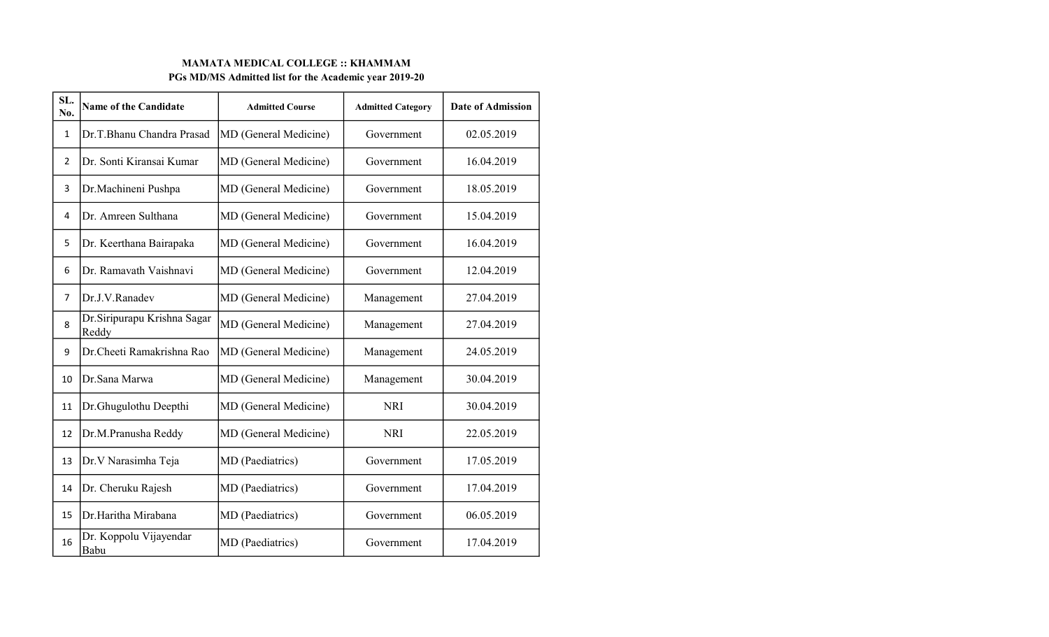## MAMATA MEDICAL COLLEGE :: KHAMMAM PGs MD/MS Admitted list for the Academic year 2019-20

| SL.<br>No.     | <b>Name of the Candidate</b>          | <b>Admitted Course</b> | <b>Admitted Category</b> | <b>Date of Admission</b> |
|----------------|---------------------------------------|------------------------|--------------------------|--------------------------|
| 1              | Dr.T.Bhanu Chandra Prasad             | MD (General Medicine)  | Government               | 02.05.2019               |
| $\overline{2}$ | Dr. Sonti Kiransai Kumar              | MD (General Medicine)  | Government               | 16.04.2019               |
| 3              | Dr.Machineni Pushpa                   | MD (General Medicine)  | Government               | 18.05.2019               |
| 4              | Dr. Amreen Sulthana                   | MD (General Medicine)  | Government               | 15.04.2019               |
| 5              | Dr. Keerthana Bairapaka               | MD (General Medicine)  | Government               | 16.04.2019               |
| 6              | Dr. Ramavath Vaishnavi                | MD (General Medicine)  | Government               | 12.04.2019               |
| $\overline{7}$ | Dr.J.V.Ranadev                        | MD (General Medicine)  | Management               | 27.04.2019               |
| 8              | Dr. Siripurapu Krishna Sagar<br>Reddy | MD (General Medicine)  | Management               | 27.04.2019               |
| 9              | Dr.Cheeti Ramakrishna Rao             | MD (General Medicine)  | Management               | 24.05.2019               |
| 10             | Dr.Sana Marwa                         | MD (General Medicine)  | Management               | 30.04.2019               |
| 11             | Dr.Ghugulothu Deepthi                 | MD (General Medicine)  | <b>NRI</b>               | 30.04.2019               |
| 12             | Dr.M.Pranusha Reddy                   | MD (General Medicine)  | <b>NRI</b>               | 22.05.2019               |
| 13             | Dr. V Narasimha Teja                  | MD (Paediatrics)       | Government               | 17.05.2019               |
| 14             | Dr. Cheruku Rajesh                    | MD (Paediatrics)       | Government               | 17.04.2019               |
| 15             | Dr.Haritha Mirabana                   | MD (Paediatrics)       | Government               | 06.05.2019               |
| 16             | Dr. Koppolu Vijayendar<br>Babu        | MD (Paediatrics)       | Government               | 17.04.2019               |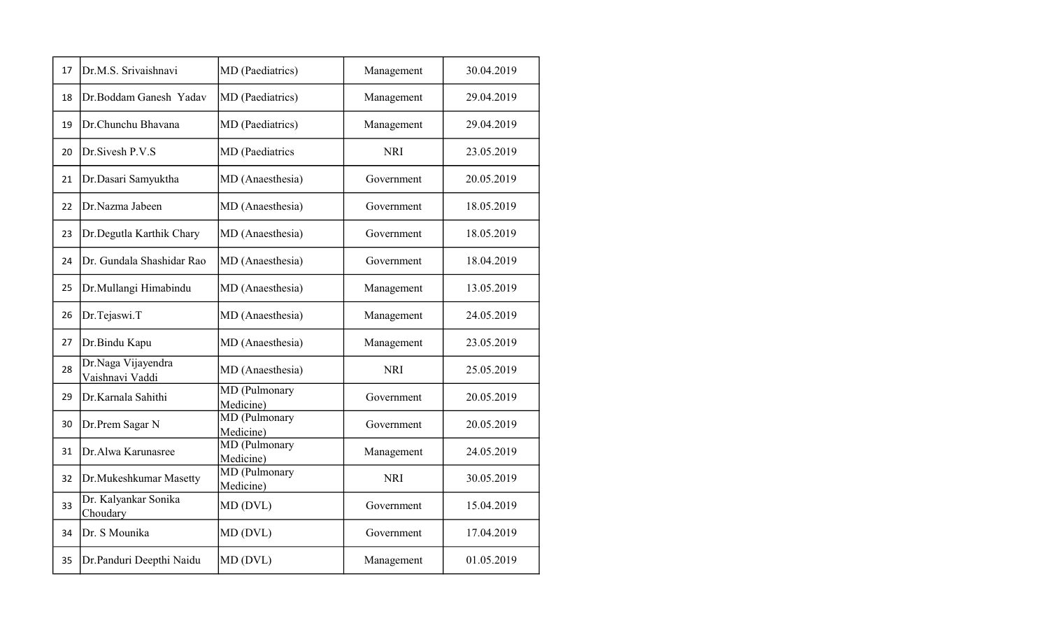| 17 | Dr.M.S. Srivaishnavi                  | MD (Paediatrics)           | Management | 30.04.2019 |
|----|---------------------------------------|----------------------------|------------|------------|
| 18 | Dr.Boddam Ganesh Yadav                | MD (Paediatrics)           | Management | 29.04.2019 |
| 19 | Dr.Chunchu Bhavana                    | MD (Paediatrics)           | Management | 29.04.2019 |
| 20 | Dr. Sivesh P.V.S                      | MD (Paediatrics            | <b>NRI</b> | 23.05.2019 |
| 21 | Dr.Dasari Samyuktha                   | MD (Anaesthesia)           | Government | 20.05.2019 |
| 22 | Dr.Nazma Jabeen                       | MD (Anaesthesia)           | Government | 18.05.2019 |
| 23 | Dr.Degutla Karthik Chary              | MD (Anaesthesia)           | Government | 18.05.2019 |
| 24 | Dr. Gundala Shashidar Rao             | MD (Anaesthesia)           | Government | 18.04.2019 |
| 25 | Dr.Mullangi Himabindu                 | MD (Anaesthesia)           | Management | 13.05.2019 |
| 26 | Dr.Tejaswi.T                          | MD (Anaesthesia)           | Management | 24.05.2019 |
| 27 | Dr.Bindu Kapu                         | MD (Anaesthesia)           | Management | 23.05.2019 |
| 28 | Dr.Naga Vijayendra<br>Vaishnavi Vaddi | MD (Anaesthesia)           | <b>NRI</b> | 25.05.2019 |
| 29 | Dr.Karnala Sahithi                    | MD (Pulmonary<br>Medicine) | Government | 20.05.2019 |
| 30 | Dr.Prem Sagar N                       | MD (Pulmonary<br>Medicine) | Government | 20.05.2019 |
| 31 | Dr.Alwa Karunasree                    | MD (Pulmonary<br>Medicine) | Management | 24.05.2019 |
| 32 | Dr.Mukeshkumar Masetty                | MD (Pulmonary<br>Medicine) | <b>NRI</b> | 30.05.2019 |
| 33 | Dr. Kalyankar Sonika<br>Choudary      | MD (DVL)                   | Government | 15.04.2019 |
| 34 | Dr. S Mounika                         | MD (DVL)                   | Government | 17.04.2019 |
| 35 | Dr.Panduri Deepthi Naidu              | MD (DVL)                   | Management | 01.05.2019 |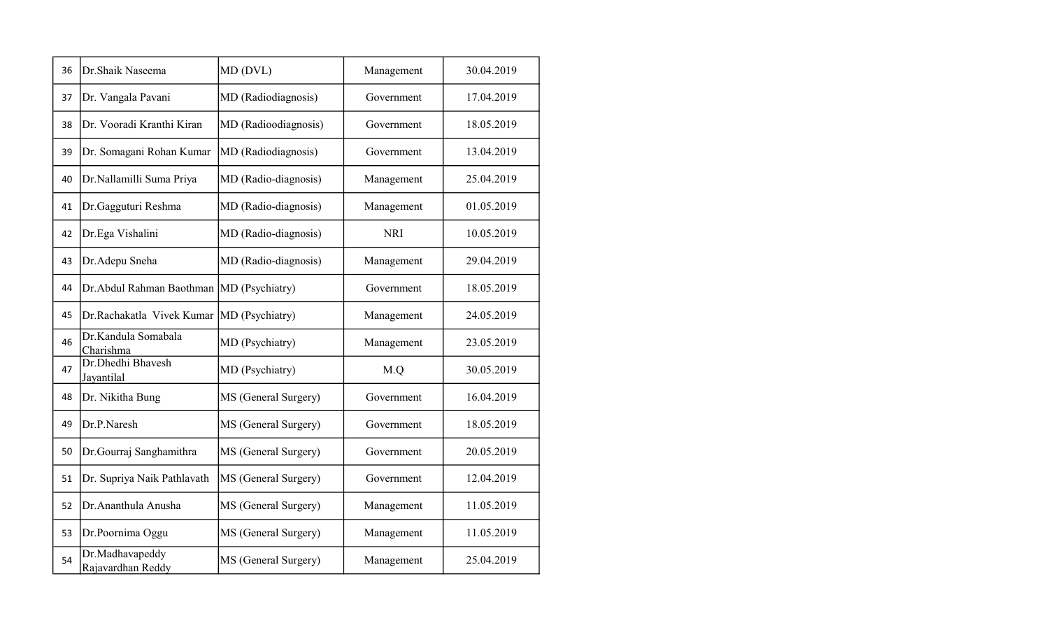| 36 | Dr.Shaik Naseema                            | MD (DVL)             | Management | 30.04.2019 |
|----|---------------------------------------------|----------------------|------------|------------|
| 37 | Dr. Vangala Pavani                          | MD (Radiodiagnosis)  | Government | 17.04.2019 |
| 38 | Dr. Vooradi Kranthi Kiran                   | MD (Radioodiagnosis) | Government | 18.05.2019 |
| 39 | Dr. Somagani Rohan Kumar                    | MD (Radiodiagnosis)  | Government | 13.04.2019 |
| 40 | Dr.Nallamilli Suma Priya                    | MD (Radio-diagnosis) | Management | 25.04.2019 |
| 41 | Dr.Gagguturi Reshma                         | MD (Radio-diagnosis) | Management | 01.05.2019 |
| 42 | Dr.Ega Vishalini                            | MD (Radio-diagnosis) | <b>NRI</b> | 10.05.2019 |
| 43 | Dr.Adepu Sneha                              | MD (Radio-diagnosis) | Management | 29.04.2019 |
| 44 | Dr. Abdul Rahman Baothman   MD (Psychiatry) |                      | Government | 18.05.2019 |
| 45 | Dr.Rachakatla Vivek Kumar                   | MD (Psychiatry)      | Management | 24.05.2019 |
| 46 | Dr.Kandula Somabala<br>Charishma            | MD (Psychiatry)      | Management | 23.05.2019 |
| 47 | Dr.Dhedhi Bhavesh<br>Jayantilal             | MD (Psychiatry)      | M.Q        | 30.05.2019 |
| 48 | Dr. Nikitha Bung                            | MS (General Surgery) | Government | 16.04.2019 |
| 49 | Dr.P.Naresh                                 | MS (General Surgery) | Government | 18.05.2019 |
| 50 | Dr. Gourraj Sanghamithra                    | MS (General Surgery) | Government | 20.05.2019 |
| 51 | Dr. Supriya Naik Pathlavath                 | MS (General Surgery) | Government | 12.04.2019 |
| 52 | Dr. Ananthula Anusha                        | MS (General Surgery) | Management | 11.05.2019 |
| 53 | Dr.Poornima Oggu                            | MS (General Surgery) | Management | 11.05.2019 |
| 54 | Dr.Madhavapeddy<br>Rajavardhan Reddy        | MS (General Surgery) | Management | 25.04.2019 |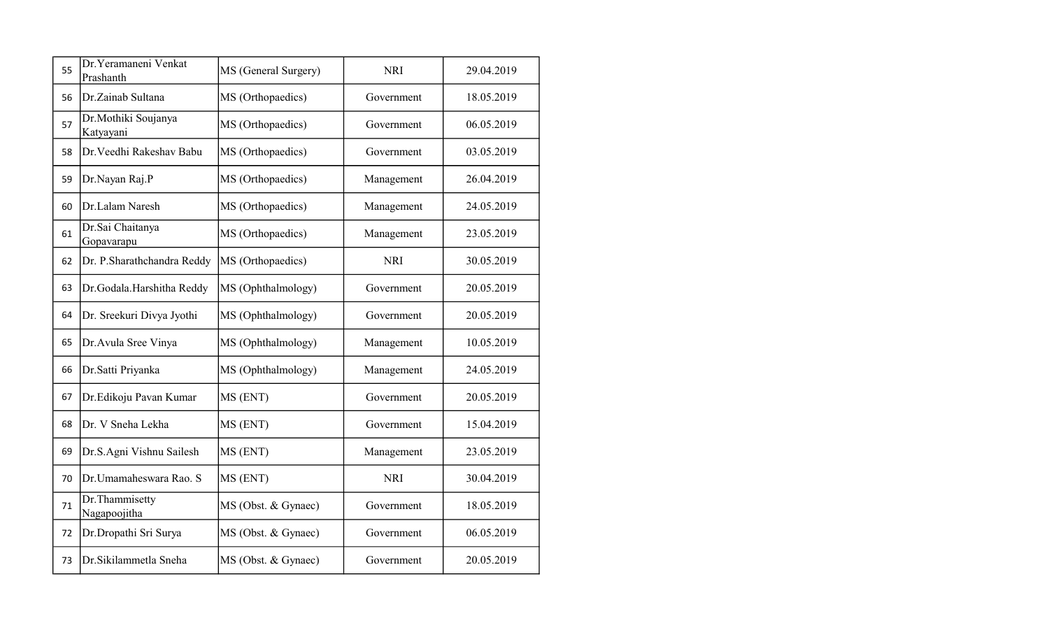| 55 | Dr. Yeramaneni Venkat<br>Prashanth | MS (General Surgery) | <b>NRI</b> | 29.04.2019 |
|----|------------------------------------|----------------------|------------|------------|
| 56 | Dr.Zainab Sultana                  | MS (Orthopaedics)    | Government | 18.05.2019 |
| 57 | Dr.Mothiki Soujanya<br>Katyayani   | MS (Orthopaedics)    | Government | 06.05.2019 |
| 58 | Dr. Veedhi Rakeshav Babu           | MS (Orthopaedics)    | Government | 03.05.2019 |
| 59 | Dr.Nayan Raj.P                     | MS (Orthopaedics)    | Management | 26.04.2019 |
| 60 | Dr.Lalam Naresh                    | MS (Orthopaedics)    | Management | 24.05.2019 |
| 61 | Dr.Sai Chaitanya<br>Gopavarapu     | MS (Orthopaedics)    | Management | 23.05.2019 |
| 62 | Dr. P.Sharathchandra Reddy         | MS (Orthopaedics)    | <b>NRI</b> | 30.05.2019 |
| 63 | Dr.Godala.Harshitha Reddy          | MS (Ophthalmology)   | Government | 20.05.2019 |
| 64 | Dr. Sreekuri Divya Jyothi          | MS (Ophthalmology)   | Government | 20.05.2019 |
| 65 | Dr. Avula Sree Vinya               | MS (Ophthalmology)   | Management | 10.05.2019 |
| 66 | Dr.Satti Priyanka                  | MS (Ophthalmology)   | Management | 24.05.2019 |
| 67 | Dr.Edikoju Pavan Kumar             | MS (ENT)             | Government | 20.05.2019 |
| 68 | Dr. V Sneha Lekha                  | MS (ENT)             | Government | 15.04.2019 |
| 69 | Dr.S.Agni Vishnu Sailesh           | MS (ENT)             | Management | 23.05.2019 |
| 70 | Dr.Umamaheswara Rao. S             | MS (ENT)             | <b>NRI</b> | 30.04.2019 |
| 71 | Dr. Thammisetty<br>Nagapoojitha    | MS (Obst. & Gynaec)  | Government | 18.05.2019 |
| 72 | Dr.Dropathi Sri Surya              | MS (Obst. & Gynaec)  | Government | 06.05.2019 |
| 73 | Dr.Sikilammetla Sneha              | MS (Obst. & Gynaec)  | Government | 20.05.2019 |